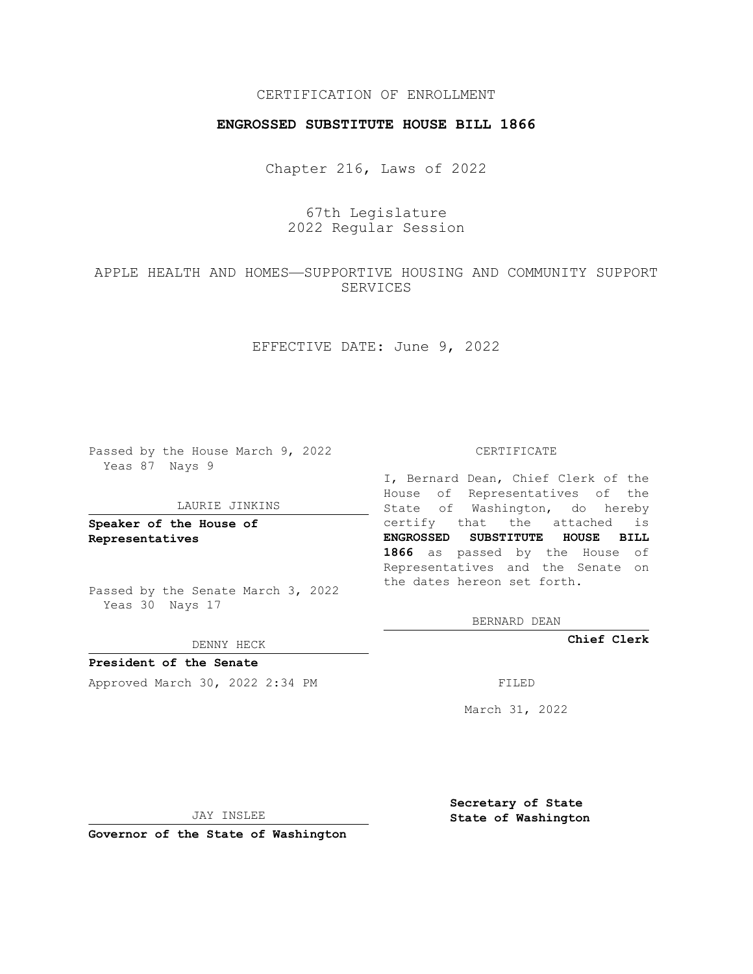## CERTIFICATION OF ENROLLMENT

### **ENGROSSED SUBSTITUTE HOUSE BILL 1866**

Chapter 216, Laws of 2022

67th Legislature 2022 Regular Session

## APPLE HEALTH AND HOMES—SUPPORTIVE HOUSING AND COMMUNITY SUPPORT SERVICES

EFFECTIVE DATE: June 9, 2022

Passed by the House March 9, 2022 Yeas 87 Nays 9

#### LAURIE JINKINS

**Speaker of the House of Representatives**

Passed by the Senate March 3, 2022 Yeas 30 Nays 17

DENNY HECK

**President of the Senate** Approved March 30, 2022 2:34 PM

CERTIFICATE

I, Bernard Dean, Chief Clerk of the House of Representatives of the State of Washington, do hereby certify that the attached is **ENGROSSED SUBSTITUTE HOUSE BILL 1866** as passed by the House of Representatives and the Senate on the dates hereon set forth.

BERNARD DEAN

**Chief Clerk**

March 31, 2022

JAY INSLEE

**Governor of the State of Washington**

**Secretary of State State of Washington**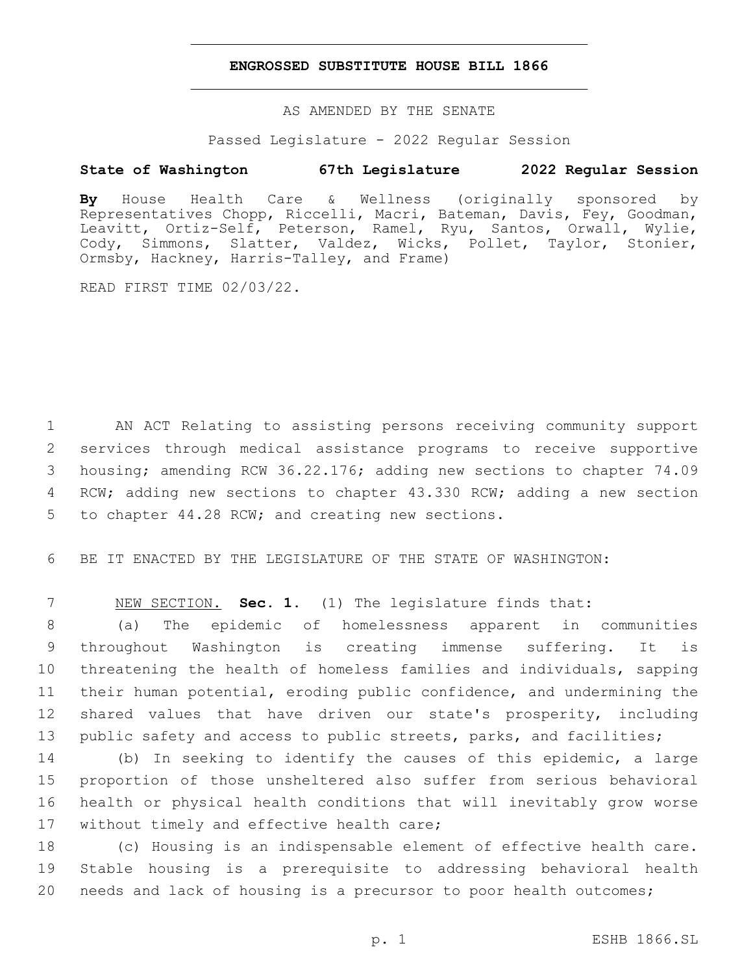### **ENGROSSED SUBSTITUTE HOUSE BILL 1866**

AS AMENDED BY THE SENATE

Passed Legislature - 2022 Regular Session

# **State of Washington 67th Legislature 2022 Regular Session**

**By** House Health Care & Wellness (originally sponsored by Representatives Chopp, Riccelli, Macri, Bateman, Davis, Fey, Goodman, Leavitt, Ortiz-Self, Peterson, Ramel, Ryu, Santos, Orwall, Wylie, Cody, Simmons, Slatter, Valdez, Wicks, Pollet, Taylor, Stonier, Ormsby, Hackney, Harris-Talley, and Frame)

READ FIRST TIME 02/03/22.

 AN ACT Relating to assisting persons receiving community support services through medical assistance programs to receive supportive housing; amending RCW 36.22.176; adding new sections to chapter 74.09 RCW; adding new sections to chapter 43.330 RCW; adding a new section 5 to chapter 44.28 RCW; and creating new sections.

6 BE IT ENACTED BY THE LEGISLATURE OF THE STATE OF WASHINGTON:

7 NEW SECTION. **Sec. 1.** (1) The legislature finds that:

 (a) The epidemic of homelessness apparent in communities throughout Washington is creating immense suffering. It is threatening the health of homeless families and individuals, sapping their human potential, eroding public confidence, and undermining the shared values that have driven our state's prosperity, including public safety and access to public streets, parks, and facilities;

 (b) In seeking to identify the causes of this epidemic, a large proportion of those unsheltered also suffer from serious behavioral health or physical health conditions that will inevitably grow worse 17 without timely and effective health care;

18 (c) Housing is an indispensable element of effective health care. 19 Stable housing is a prerequisite to addressing behavioral health 20 needs and lack of housing is a precursor to poor health outcomes;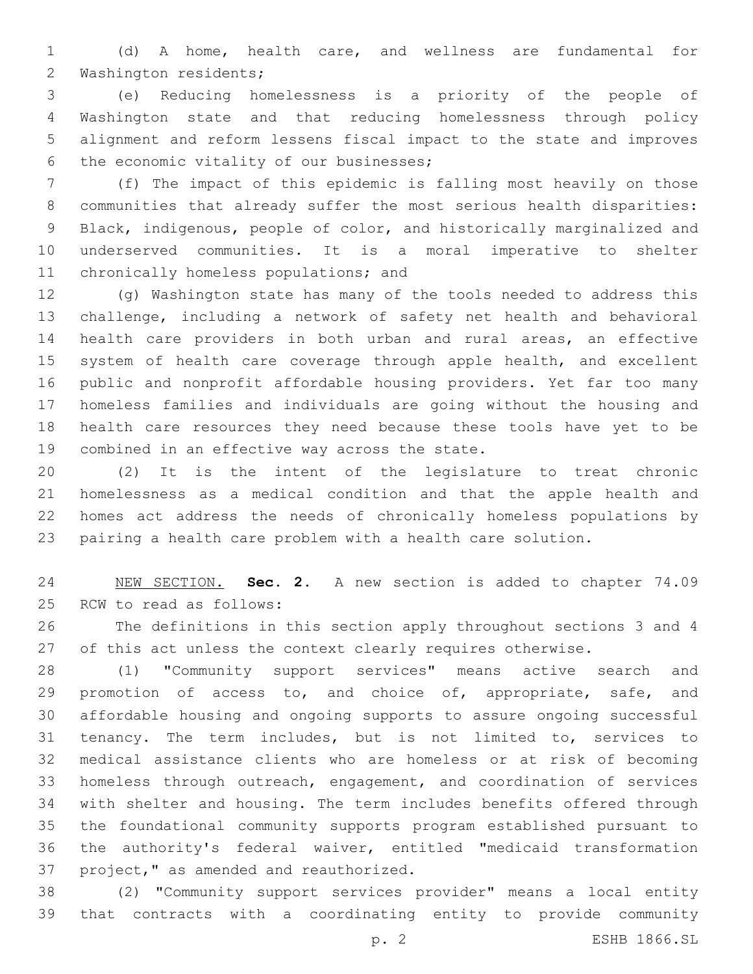(d) A home, health care, and wellness are fundamental for 2 Washington residents;

 (e) Reducing homelessness is a priority of the people of Washington state and that reducing homelessness through policy alignment and reform lessens fiscal impact to the state and improves 6 the economic vitality of our businesses;

 (f) The impact of this epidemic is falling most heavily on those communities that already suffer the most serious health disparities: Black, indigenous, people of color, and historically marginalized and underserved communities. It is a moral imperative to shelter 11 chronically homeless populations; and

 (g) Washington state has many of the tools needed to address this challenge, including a network of safety net health and behavioral health care providers in both urban and rural areas, an effective 15 system of health care coverage through apple health, and excellent public and nonprofit affordable housing providers. Yet far too many homeless families and individuals are going without the housing and health care resources they need because these tools have yet to be 19 combined in an effective way across the state.

 (2) It is the intent of the legislature to treat chronic homelessness as a medical condition and that the apple health and homes act address the needs of chronically homeless populations by pairing a health care problem with a health care solution.

 NEW SECTION. **Sec. 2.** A new section is added to chapter 74.09 25 RCW to read as follows:

 The definitions in this section apply throughout sections 3 and 4 27 of this act unless the context clearly requires otherwise.

 (1) "Community support services" means active search and 29 promotion of access to, and choice of, appropriate, safe, and affordable housing and ongoing supports to assure ongoing successful tenancy. The term includes, but is not limited to, services to medical assistance clients who are homeless or at risk of becoming homeless through outreach, engagement, and coordination of services with shelter and housing. The term includes benefits offered through the foundational community supports program established pursuant to the authority's federal waiver, entitled "medicaid transformation 37 project," as amended and reauthorized.

 (2) "Community support services provider" means a local entity that contracts with a coordinating entity to provide community

p. 2 ESHB 1866.SL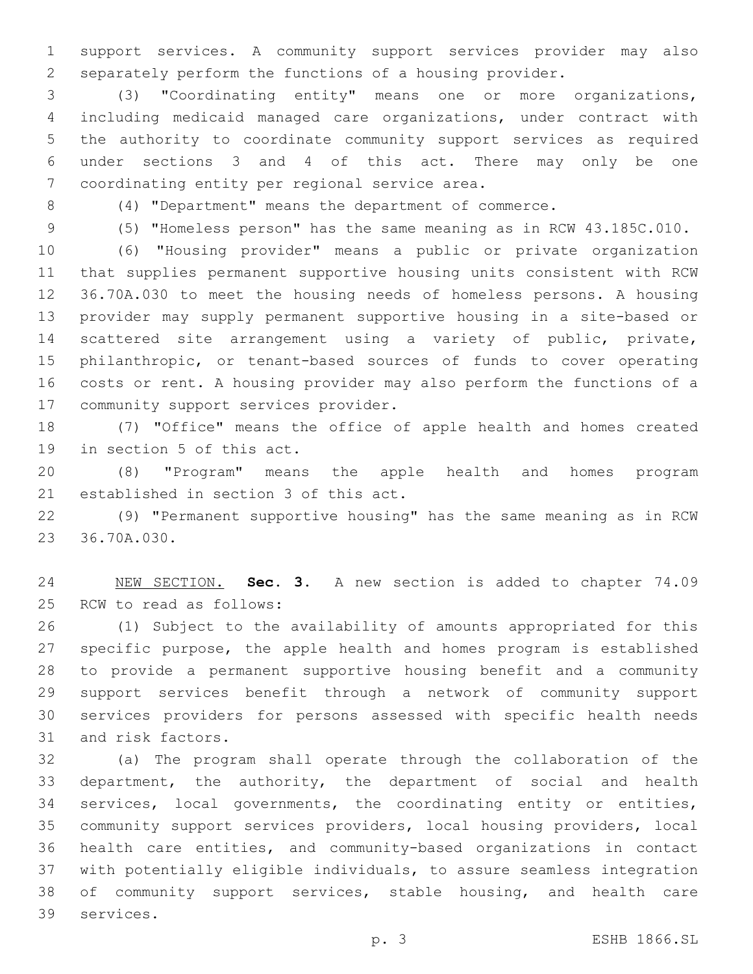support services. A community support services provider may also separately perform the functions of a housing provider.

 (3) "Coordinating entity" means one or more organizations, including medicaid managed care organizations, under contract with the authority to coordinate community support services as required under sections 3 and 4 of this act. There may only be one 7 coordinating entity per regional service area.

(4) "Department" means the department of commerce.

(5) "Homeless person" has the same meaning as in RCW 43.185C.010.

 (6) "Housing provider" means a public or private organization that supplies permanent supportive housing units consistent with RCW 36.70A.030 to meet the housing needs of homeless persons. A housing provider may supply permanent supportive housing in a site-based or scattered site arrangement using a variety of public, private, philanthropic, or tenant-based sources of funds to cover operating costs or rent. A housing provider may also perform the functions of a 17 community support services provider.

 (7) "Office" means the office of apple health and homes created 19 in section 5 of this act.

 (8) "Program" means the apple health and homes program 21 established in section 3 of this act.

 (9) "Permanent supportive housing" has the same meaning as in RCW 23 36.70A.030.

 NEW SECTION. **Sec. 3.** A new section is added to chapter 74.09 25 RCW to read as follows:

 (1) Subject to the availability of amounts appropriated for this specific purpose, the apple health and homes program is established to provide a permanent supportive housing benefit and a community support services benefit through a network of community support services providers for persons assessed with specific health needs 31 and risk factors.

 (a) The program shall operate through the collaboration of the department, the authority, the department of social and health services, local governments, the coordinating entity or entities, community support services providers, local housing providers, local health care entities, and community-based organizations in contact with potentially eligible individuals, to assure seamless integration of community support services, stable housing, and health care 39 services.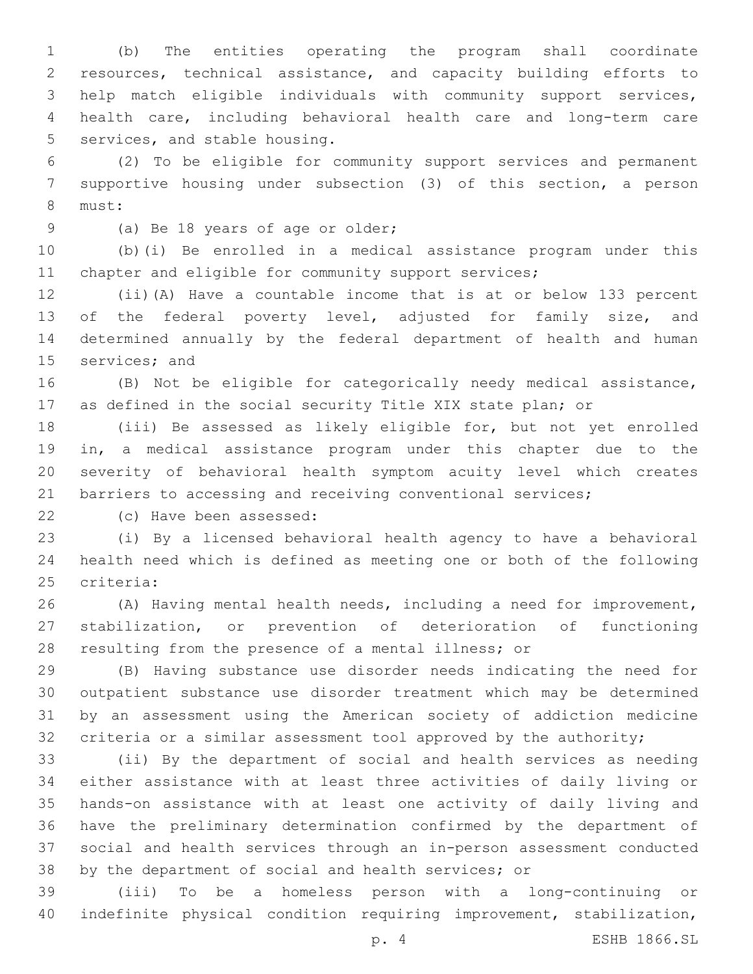(b) The entities operating the program shall coordinate resources, technical assistance, and capacity building efforts to help match eligible individuals with community support services, health care, including behavioral health care and long-term care 5 services, and stable housing.

 (2) To be eligible for community support services and permanent supportive housing under subsection (3) of this section, a person 8 must:

9 (a) Be 18 years of age or older;

 (b)(i) Be enrolled in a medical assistance program under this 11 chapter and eligible for community support services;

 (ii)(A) Have a countable income that is at or below 133 percent 13 of the federal poverty level, adjusted for family size, and determined annually by the federal department of health and human 15 services; and

 (B) Not be eligible for categorically needy medical assistance, as defined in the social security Title XIX state plan; or

 (iii) Be assessed as likely eligible for, but not yet enrolled in, a medical assistance program under this chapter due to the severity of behavioral health symptom acuity level which creates 21 barriers to accessing and receiving conventional services;

22 (c) Have been assessed:

 (i) By a licensed behavioral health agency to have a behavioral health need which is defined as meeting one or both of the following 25 criteria:

 (A) Having mental health needs, including a need for improvement, stabilization, or prevention of deterioration of functioning resulting from the presence of a mental illness; or

 (B) Having substance use disorder needs indicating the need for outpatient substance use disorder treatment which may be determined by an assessment using the American society of addiction medicine criteria or a similar assessment tool approved by the authority;

 (ii) By the department of social and health services as needing either assistance with at least three activities of daily living or hands-on assistance with at least one activity of daily living and have the preliminary determination confirmed by the department of social and health services through an in-person assessment conducted by the department of social and health services; or

 (iii) To be a homeless person with a long-continuing or indefinite physical condition requiring improvement, stabilization,

p. 4 ESHB 1866.SL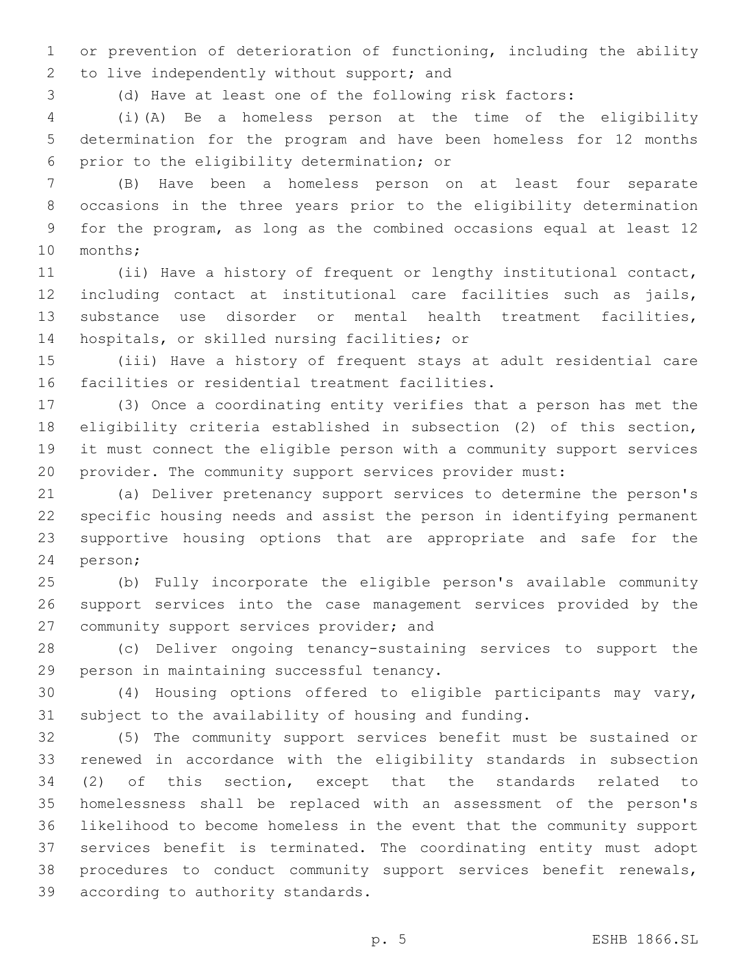or prevention of deterioration of functioning, including the ability 2 to live independently without support; and

(d) Have at least one of the following risk factors:

 (i)(A) Be a homeless person at the time of the eligibility determination for the program and have been homeless for 12 months 6 prior to the eligibility determination; or

 (B) Have been a homeless person on at least four separate occasions in the three years prior to the eligibility determination for the program, as long as the combined occasions equal at least 12 10 months;

 (ii) Have a history of frequent or lengthy institutional contact, including contact at institutional care facilities such as jails, substance use disorder or mental health treatment facilities, 14 hospitals, or skilled nursing facilities; or

 (iii) Have a history of frequent stays at adult residential care 16 facilities or residential treatment facilities.

 (3) Once a coordinating entity verifies that a person has met the eligibility criteria established in subsection (2) of this section, it must connect the eligible person with a community support services provider. The community support services provider must:

 (a) Deliver pretenancy support services to determine the person's specific housing needs and assist the person in identifying permanent supportive housing options that are appropriate and safe for the 24 person;

 (b) Fully incorporate the eligible person's available community support services into the case management services provided by the 27 community support services provider; and

 (c) Deliver ongoing tenancy-sustaining services to support the 29 person in maintaining successful tenancy.

 (4) Housing options offered to eligible participants may vary, subject to the availability of housing and funding.

 (5) The community support services benefit must be sustained or renewed in accordance with the eligibility standards in subsection (2) of this section, except that the standards related to homelessness shall be replaced with an assessment of the person's likelihood to become homeless in the event that the community support services benefit is terminated. The coordinating entity must adopt procedures to conduct community support services benefit renewals, 39 according to authority standards.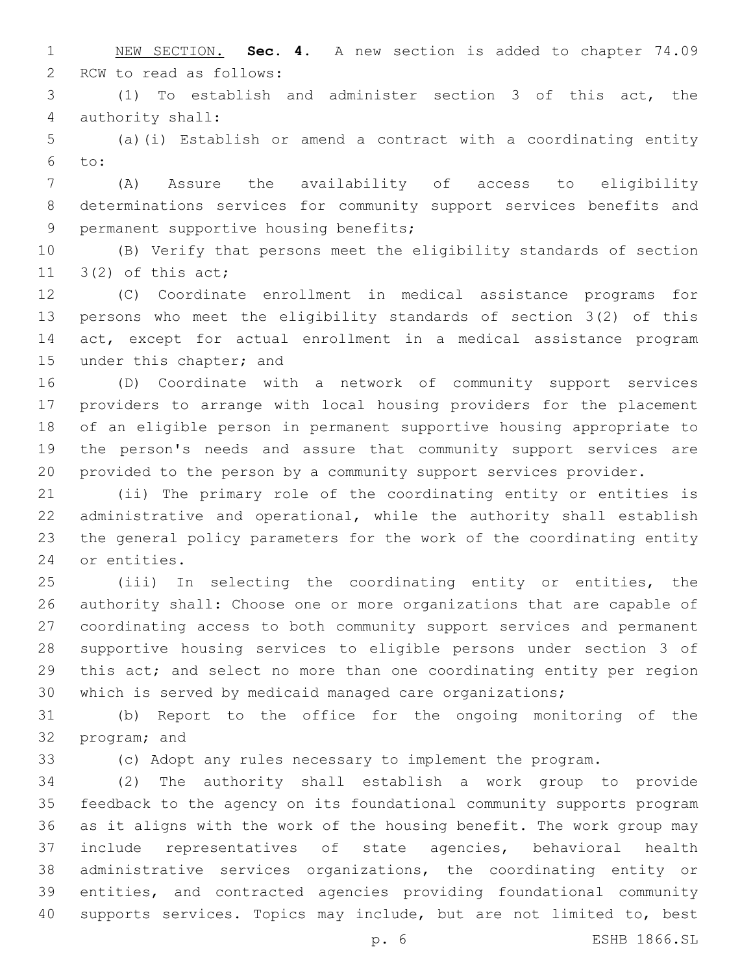NEW SECTION. **Sec. 4.** A new section is added to chapter 74.09 2 RCW to read as follows:

 (1) To establish and administer section 3 of this act, the 4 authority shall:

 (a)(i) Establish or amend a contract with a coordinating entity to:

 (A) Assure the availability of access to eligibility determinations services for community support services benefits and 9 permanent supportive housing benefits;

 (B) Verify that persons meet the eligibility standards of section 11  $3(2)$  of this act;

 (C) Coordinate enrollment in medical assistance programs for persons who meet the eligibility standards of section 3(2) of this act, except for actual enrollment in a medical assistance program 15 under this chapter; and

 (D) Coordinate with a network of community support services providers to arrange with local housing providers for the placement of an eligible person in permanent supportive housing appropriate to the person's needs and assure that community support services are provided to the person by a community support services provider.

 (ii) The primary role of the coordinating entity or entities is administrative and operational, while the authority shall establish the general policy parameters for the work of the coordinating entity 24 or entities.

 (iii) In selecting the coordinating entity or entities, the authority shall: Choose one or more organizations that are capable of coordinating access to both community support services and permanent supportive housing services to eligible persons under section 3 of this act; and select no more than one coordinating entity per region which is served by medicaid managed care organizations;

 (b) Report to the office for the ongoing monitoring of the 32 program; and

(c) Adopt any rules necessary to implement the program.

 (2) The authority shall establish a work group to provide feedback to the agency on its foundational community supports program as it aligns with the work of the housing benefit. The work group may include representatives of state agencies, behavioral health administrative services organizations, the coordinating entity or entities, and contracted agencies providing foundational community supports services. Topics may include, but are not limited to, best

p. 6 ESHB 1866.SL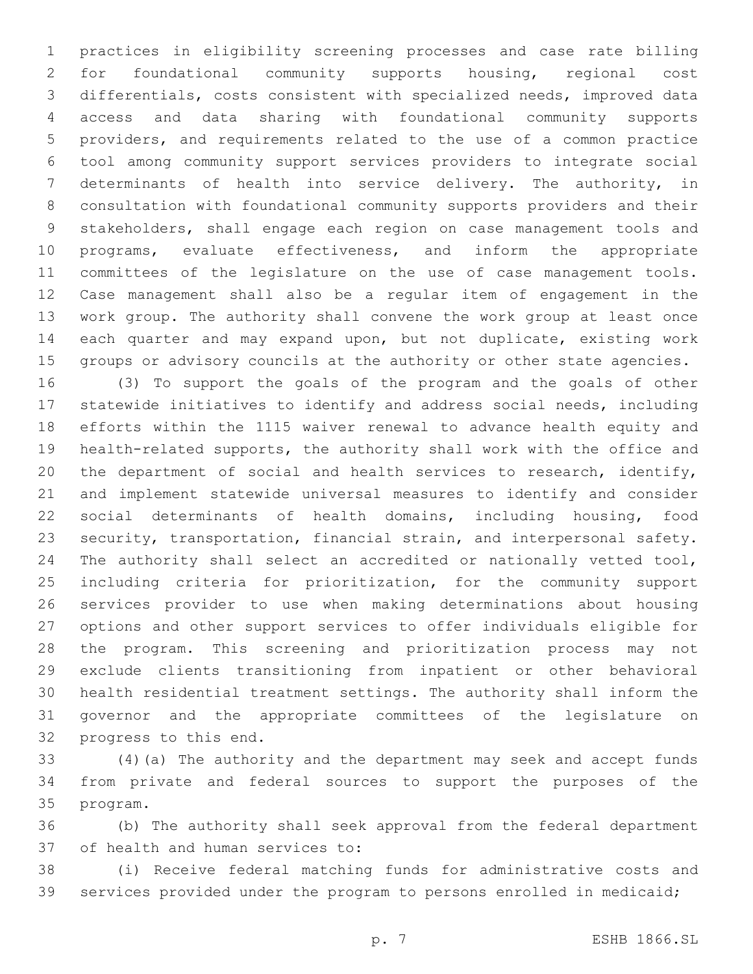practices in eligibility screening processes and case rate billing for foundational community supports housing, regional cost differentials, costs consistent with specialized needs, improved data access and data sharing with foundational community supports providers, and requirements related to the use of a common practice tool among community support services providers to integrate social determinants of health into service delivery. The authority, in consultation with foundational community supports providers and their stakeholders, shall engage each region on case management tools and programs, evaluate effectiveness, and inform the appropriate committees of the legislature on the use of case management tools. Case management shall also be a regular item of engagement in the work group. The authority shall convene the work group at least once each quarter and may expand upon, but not duplicate, existing work groups or advisory councils at the authority or other state agencies.

 (3) To support the goals of the program and the goals of other statewide initiatives to identify and address social needs, including efforts within the 1115 waiver renewal to advance health equity and health-related supports, the authority shall work with the office and the department of social and health services to research, identify, and implement statewide universal measures to identify and consider social determinants of health domains, including housing, food security, transportation, financial strain, and interpersonal safety. 24 The authority shall select an accredited or nationally vetted tool, including criteria for prioritization, for the community support services provider to use when making determinations about housing options and other support services to offer individuals eligible for the program. This screening and prioritization process may not exclude clients transitioning from inpatient or other behavioral health residential treatment settings. The authority shall inform the governor and the appropriate committees of the legislature on 32 progress to this end.

 (4)(a) The authority and the department may seek and accept funds from private and federal sources to support the purposes of the 35 program.

 (b) The authority shall seek approval from the federal department 37 of health and human services to:

 (i) Receive federal matching funds for administrative costs and services provided under the program to persons enrolled in medicaid;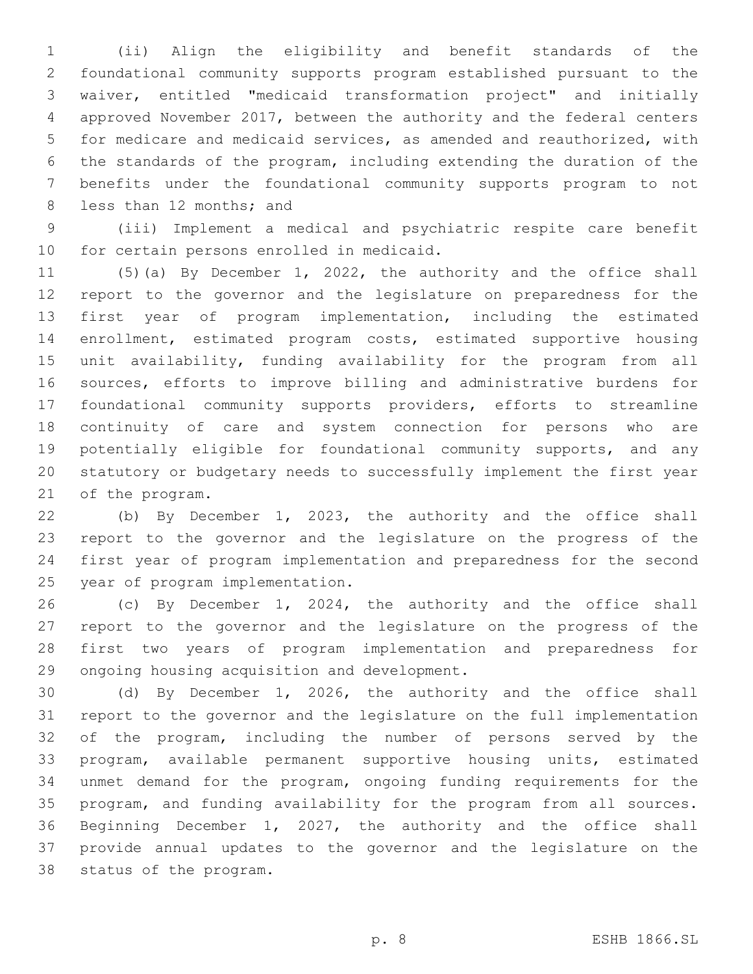(ii) Align the eligibility and benefit standards of the foundational community supports program established pursuant to the waiver, entitled "medicaid transformation project" and initially approved November 2017, between the authority and the federal centers for medicare and medicaid services, as amended and reauthorized, with the standards of the program, including extending the duration of the benefits under the foundational community supports program to not 8 less than 12 months; and

 (iii) Implement a medical and psychiatric respite care benefit 10 for certain persons enrolled in medicaid.

 (5)(a) By December 1, 2022, the authority and the office shall report to the governor and the legislature on preparedness for the first year of program implementation, including the estimated enrollment, estimated program costs, estimated supportive housing unit availability, funding availability for the program from all sources, efforts to improve billing and administrative burdens for foundational community supports providers, efforts to streamline continuity of care and system connection for persons who are potentially eligible for foundational community supports, and any statutory or budgetary needs to successfully implement the first year 21 of the program.

 (b) By December 1, 2023, the authority and the office shall report to the governor and the legislature on the progress of the first year of program implementation and preparedness for the second 25 year of program implementation.

 (c) By December 1, 2024, the authority and the office shall report to the governor and the legislature on the progress of the first two years of program implementation and preparedness for 29 ongoing housing acquisition and development.

 (d) By December 1, 2026, the authority and the office shall report to the governor and the legislature on the full implementation of the program, including the number of persons served by the program, available permanent supportive housing units, estimated unmet demand for the program, ongoing funding requirements for the program, and funding availability for the program from all sources. Beginning December 1, 2027, the authority and the office shall provide annual updates to the governor and the legislature on the 38 status of the program.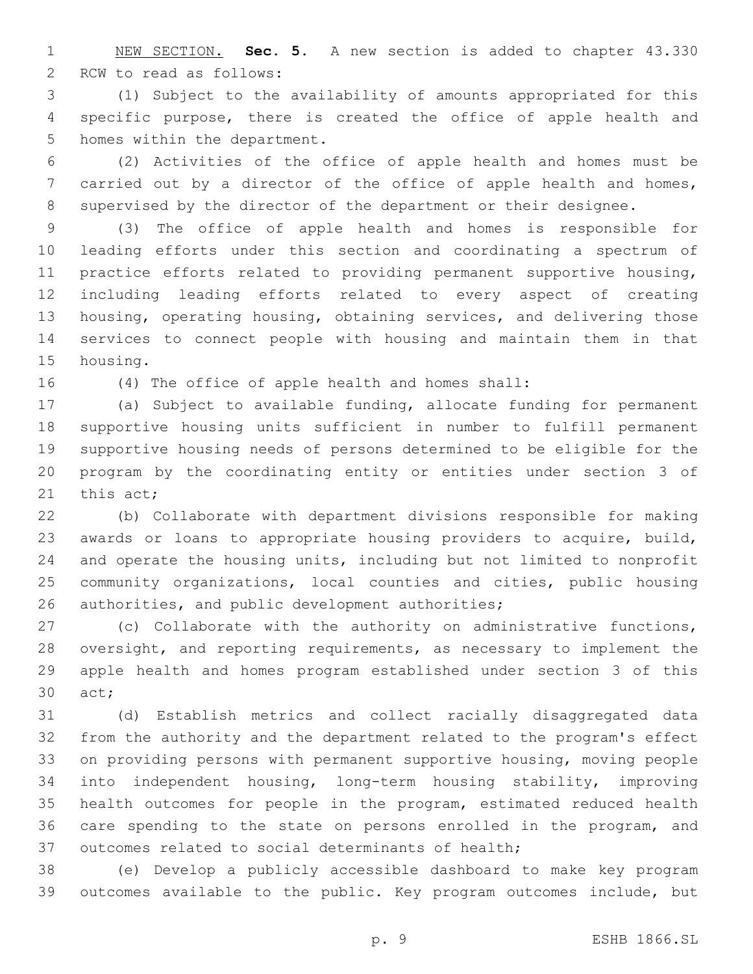NEW SECTION. **Sec. 5.** A new section is added to chapter 43.330 2 RCW to read as follows:

 (1) Subject to the availability of amounts appropriated for this specific purpose, there is created the office of apple health and 5 homes within the department.

 (2) Activities of the office of apple health and homes must be 7 carried out by a director of the office of apple health and homes, supervised by the director of the department or their designee.

 (3) The office of apple health and homes is responsible for leading efforts under this section and coordinating a spectrum of practice efforts related to providing permanent supportive housing, including leading efforts related to every aspect of creating housing, operating housing, obtaining services, and delivering those services to connect people with housing and maintain them in that 15 housing.

(4) The office of apple health and homes shall:

 (a) Subject to available funding, allocate funding for permanent supportive housing units sufficient in number to fulfill permanent supportive housing needs of persons determined to be eligible for the program by the coordinating entity or entities under section 3 of 21 this  $act;$ 

 (b) Collaborate with department divisions responsible for making awards or loans to appropriate housing providers to acquire, build, and operate the housing units, including but not limited to nonprofit community organizations, local counties and cities, public housing 26 authorities, and public development authorities;

 (c) Collaborate with the authority on administrative functions, oversight, and reporting requirements, as necessary to implement the apple health and homes program established under section 3 of this 30 act;

 (d) Establish metrics and collect racially disaggregated data from the authority and the department related to the program's effect on providing persons with permanent supportive housing, moving people into independent housing, long-term housing stability, improving health outcomes for people in the program, estimated reduced health care spending to the state on persons enrolled in the program, and outcomes related to social determinants of health;

 (e) Develop a publicly accessible dashboard to make key program outcomes available to the public. Key program outcomes include, but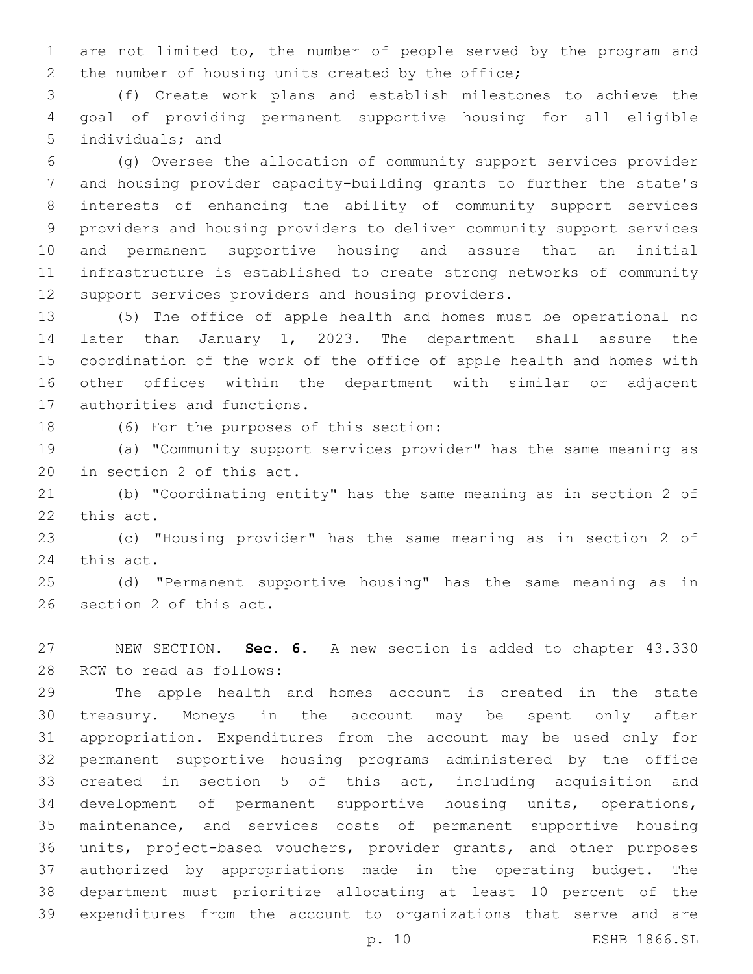are not limited to, the number of people served by the program and 2 the number of housing units created by the office;

 (f) Create work plans and establish milestones to achieve the goal of providing permanent supportive housing for all eligible 5 individuals; and

 (g) Oversee the allocation of community support services provider and housing provider capacity-building grants to further the state's interests of enhancing the ability of community support services providers and housing providers to deliver community support services and permanent supportive housing and assure that an initial infrastructure is established to create strong networks of community 12 support services providers and housing providers.

 (5) The office of apple health and homes must be operational no later than January 1, 2023. The department shall assure the coordination of the work of the office of apple health and homes with other offices within the department with similar or adjacent 17 authorities and functions.

18 (6) For the purposes of this section:

 (a) "Community support services provider" has the same meaning as 20 in section 2 of this act.

 (b) "Coordinating entity" has the same meaning as in section 2 of 22 this act.

 (c) "Housing provider" has the same meaning as in section 2 of 24 this act.

 (d) "Permanent supportive housing" has the same meaning as in 26 section 2 of this act.

 NEW SECTION. **Sec. 6.** A new section is added to chapter 43.330 28 RCW to read as follows:

 The apple health and homes account is created in the state treasury. Moneys in the account may be spent only after appropriation. Expenditures from the account may be used only for permanent supportive housing programs administered by the office created in section 5 of this act, including acquisition and development of permanent supportive housing units, operations, maintenance, and services costs of permanent supportive housing units, project-based vouchers, provider grants, and other purposes authorized by appropriations made in the operating budget. The department must prioritize allocating at least 10 percent of the expenditures from the account to organizations that serve and are

p. 10 ESHB 1866.SL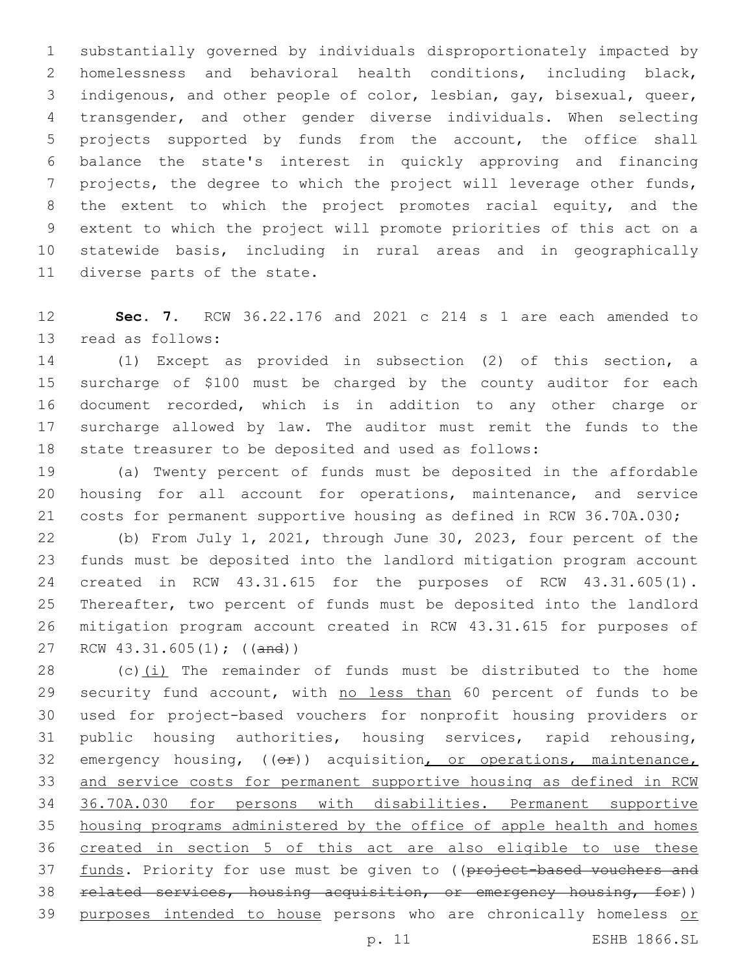substantially governed by individuals disproportionately impacted by homelessness and behavioral health conditions, including black, indigenous, and other people of color, lesbian, gay, bisexual, queer, transgender, and other gender diverse individuals. When selecting projects supported by funds from the account, the office shall balance the state's interest in quickly approving and financing projects, the degree to which the project will leverage other funds, 8 the extent to which the project promotes racial equity, and the extent to which the project will promote priorities of this act on a statewide basis, including in rural areas and in geographically 11 diverse parts of the state.

 **Sec. 7.** RCW 36.22.176 and 2021 c 214 s 1 are each amended to 13 read as follows:

 (1) Except as provided in subsection (2) of this section, a surcharge of \$100 must be charged by the county auditor for each document recorded, which is in addition to any other charge or surcharge allowed by law. The auditor must remit the funds to the state treasurer to be deposited and used as follows:

 (a) Twenty percent of funds must be deposited in the affordable housing for all account for operations, maintenance, and service costs for permanent supportive housing as defined in RCW 36.70A.030;

 (b) From July 1, 2021, through June 30, 2023, four percent of the funds must be deposited into the landlord mitigation program account created in RCW 43.31.615 for the purposes of RCW 43.31.605(1). Thereafter, two percent of funds must be deposited into the landlord mitigation program account created in RCW 43.31.615 for purposes of 27 RCW 43.31.605(1); ((and))

 (c)(i) The remainder of funds must be distributed to the home 29 security fund account, with no less than 60 percent of funds to be used for project-based vouchers for nonprofit housing providers or public housing authorities, housing services, rapid rehousing, 32 emergency housing, (( $\Theta$ )) acquisition, or operations, maintenance, and service costs for permanent supportive housing as defined in RCW 36.70A.030 for persons with disabilities. Permanent supportive housing programs administered by the office of apple health and homes created in section 5 of this act are also eligible to use these 37 funds. Priority for use must be given to ((project-based vouchers and related services, housing acquisition, or emergency housing, for)) 39 purposes intended to house persons who are chronically homeless or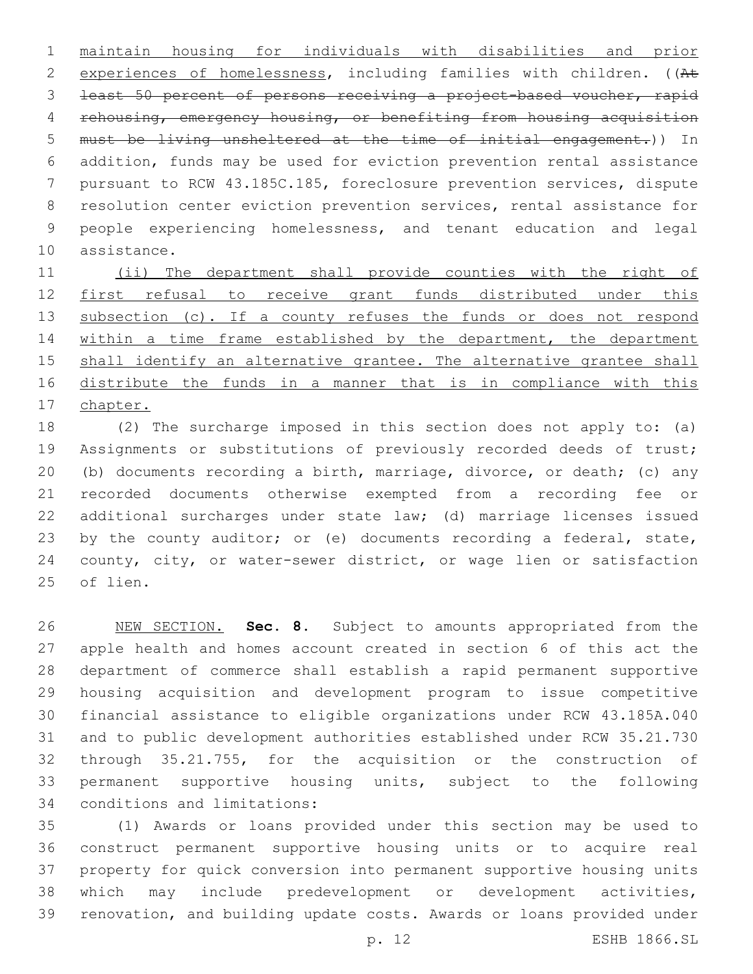maintain housing for individuals with disabilities and prior 2 experiences of homelessness, including families with children. ((At least 50 percent of persons receiving a project-based voucher, rapid rehousing, emergency housing, or benefiting from housing acquisition must be living unsheltered at the time of initial engagement.)) In addition, funds may be used for eviction prevention rental assistance pursuant to RCW 43.185C.185, foreclosure prevention services, dispute resolution center eviction prevention services, rental assistance for people experiencing homelessness, and tenant education and legal 10 assistance.

 (ii) The department shall provide counties with the right of first refusal to receive grant funds distributed under this 13 subsection (c). If a county refuses the funds or does not respond 14 within a time frame established by the department, the department 15 shall identify an alternative grantee. The alternative grantee shall distribute the funds in a manner that is in compliance with this chapter.

 (2) The surcharge imposed in this section does not apply to: (a) Assignments or substitutions of previously recorded deeds of trust; (b) documents recording a birth, marriage, divorce, or death; (c) any recorded documents otherwise exempted from a recording fee or additional surcharges under state law; (d) marriage licenses issued 23 by the county auditor; or (e) documents recording a federal, state, county, city, or water-sewer district, or wage lien or satisfaction 25 of lien.

 NEW SECTION. **Sec. 8.** Subject to amounts appropriated from the apple health and homes account created in section 6 of this act the department of commerce shall establish a rapid permanent supportive housing acquisition and development program to issue competitive financial assistance to eligible organizations under RCW 43.185A.040 and to public development authorities established under RCW 35.21.730 through 35.21.755, for the acquisition or the construction of permanent supportive housing units, subject to the following conditions and limitations:

 (1) Awards or loans provided under this section may be used to construct permanent supportive housing units or to acquire real property for quick conversion into permanent supportive housing units which may include predevelopment or development activities, renovation, and building update costs. Awards or loans provided under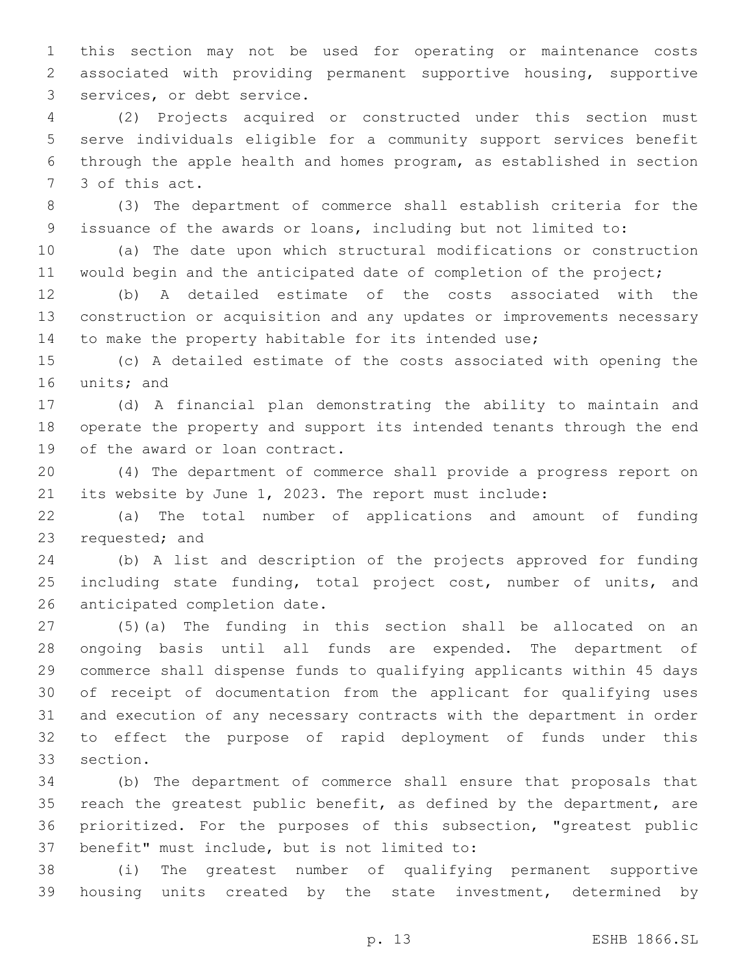this section may not be used for operating or maintenance costs associated with providing permanent supportive housing, supportive 3 services, or debt service.

 (2) Projects acquired or constructed under this section must serve individuals eligible for a community support services benefit through the apple health and homes program, as established in section 7 3 of this act.

 (3) The department of commerce shall establish criteria for the issuance of the awards or loans, including but not limited to:

 (a) The date upon which structural modifications or construction 11 would begin and the anticipated date of completion of the project;

 (b) A detailed estimate of the costs associated with the construction or acquisition and any updates or improvements necessary 14 to make the property habitable for its intended use;

 (c) A detailed estimate of the costs associated with opening the 16 units; and

 (d) A financial plan demonstrating the ability to maintain and operate the property and support its intended tenants through the end 19 of the award or loan contract.

 (4) The department of commerce shall provide a progress report on its website by June 1, 2023. The report must include:

 (a) The total number of applications and amount of funding 23 requested; and

 (b) A list and description of the projects approved for funding 25 including state funding, total project cost, number of units, and 26 anticipated completion date.

 (5)(a) The funding in this section shall be allocated on an ongoing basis until all funds are expended. The department of commerce shall dispense funds to qualifying applicants within 45 days of receipt of documentation from the applicant for qualifying uses and execution of any necessary contracts with the department in order to effect the purpose of rapid deployment of funds under this 33 section.

 (b) The department of commerce shall ensure that proposals that reach the greatest public benefit, as defined by the department, are prioritized. For the purposes of this subsection, "greatest public 37 benefit" must include, but is not limited to:

 (i) The greatest number of qualifying permanent supportive housing units created by the state investment, determined by